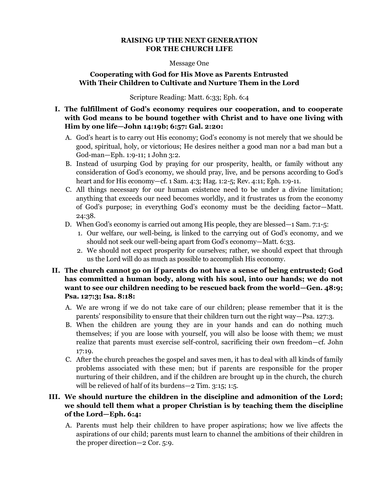#### **RAISING UP THE NEXT GENERATION FOR THE CHURCH LIFE**

#### Message One

## **Cooperating with God for His Move as Parents Entrusted With Their Children to Cultivate and Nurture Them in the Lord**

Scripture Reading: Matt. 6:33; Eph. 6:4

#### **I. The fulfillment of God's economy requires our cooperation, and to cooperate with God means to be bound together with Christ and to have one living with Him by one life—John 14:19b; 6:57: Gal. 2:20:**

- A. God's heart is to carry out His economy; God's economy is not merely that we should be good, spiritual, holy, or victorious; He desires neither a good man nor a bad man but a God-man—Eph. 1:9-11; 1 John 3:2.
- B. Instead of usurping God by praying for our prosperity, health, or family without any consideration of God's economy, we should pray, live, and be persons according to God's heart and for His economy—cf. 1 Sam. 4:3; Hag. 1:2-5; Rev. 4:11; Eph. 1:9-11.
- C. All things necessary for our human existence need to be under a divine limitation; anything that exceeds our need becomes worldly, and it frustrates us from the economy of God's purpose; in everything God's economy must be the deciding factor—Matt. 24:38.
- D. When God's economy is carried out among His people, they are blessed—1 Sam. 7:1-5:
	- 1. Our welfare, our well-being, is linked to the carrying out of God's economy, and we should not seek our well-being apart from God's economy—Matt. 6:33.
	- 2. We should not expect prosperity for ourselves; rather, we should expect that through us the Lord will do as much as possible to accomplish His economy.

## **II. The church cannot go on if parents do not have a sense of being entrusted; God has committed a human body, along with his soul, into our hands; we do not want to see our children needing to be rescued back from the world—Gen. 48:9; Psa. 127:3; Isa. 8:18:**

- A. We are wrong if we do not take care of our children; please remember that it is the parents' responsibility to ensure that their children turn out the right way—Psa. 127:3.
- B. When the children are young they are in your hands and can do nothing much themselves; if you are loose with yourself, you will also be loose with them; we must realize that parents must exercise self-control, sacrificing their own freedom—cf. John 17:19.
- C. After the church preaches the gospel and saves men, it has to deal with all kinds of family problems associated with these men; but if parents are responsible for the proper nurturing of their children, and if the children are brought up in the church, the church will be relieved of half of its burdens—2 Tim. 3:15; 1:5.

## **III. We should nurture the children in the discipline and admonition of the Lord; we should tell them what a proper Christian is by teaching them the discipline of the Lord—Eph. 6:4:**

A. Parents must help their children to have proper aspirations; how we live affects the aspirations of our child; parents must learn to channel the ambitions of their children in the proper direction—2 Cor. 5:9.